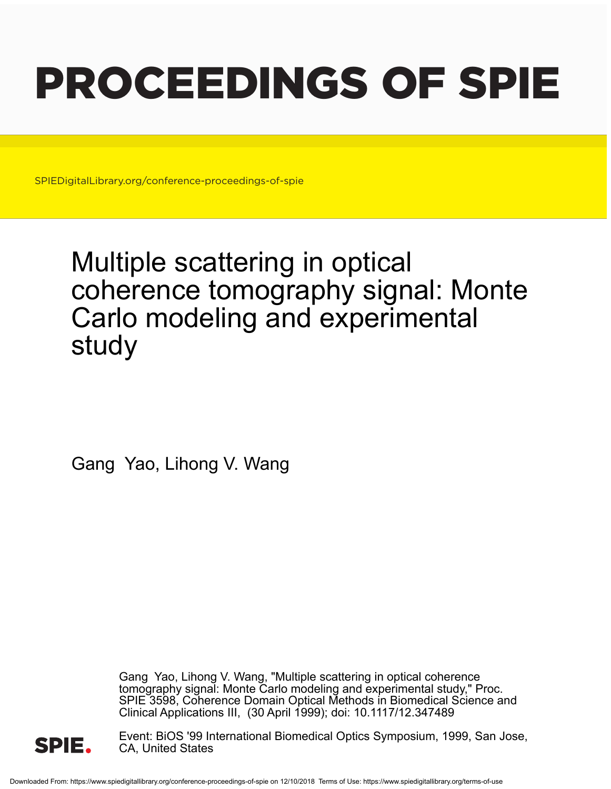# PROCEEDINGS OF SPIE

SPIEDigitalLibrary.org/conference-proceedings-of-spie

## Multiple scattering in optical coherence tomography signal: Monte Carlo modeling and experimental study

Gang Yao, Lihong V. Wang

Gang Yao, Lihong V. Wang, "Multiple scattering in optical coherence tomography signal: Monte Carlo modeling and experimental study," Proc. SPIE 3598, Coherence Domain Optical Methods in Biomedical Science and Clinical Applications III, (30 April 1999); doi: 10.1117/12.347489



Event: BiOS '99 International Biomedical Optics Symposium, 1999, San Jose, CA, United States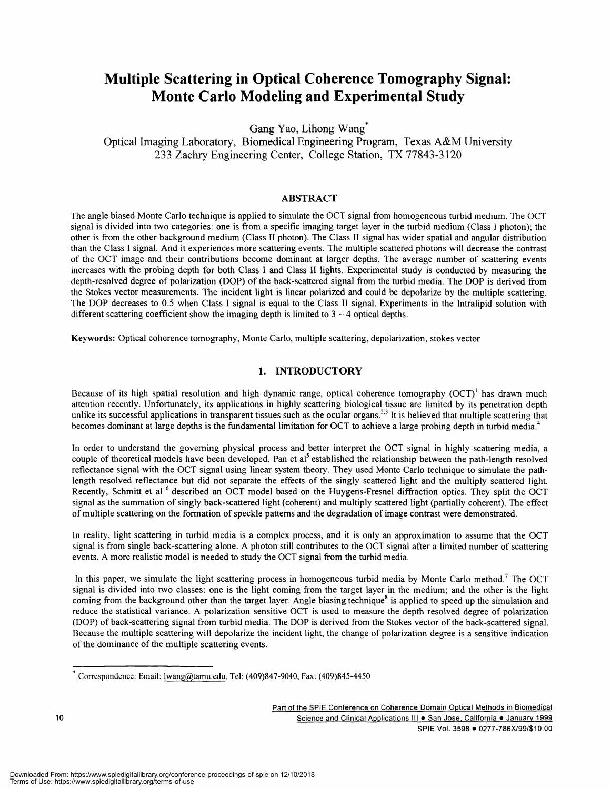### Multiple Scattering in Optical Coherence Tomography Signal: Monte Carlo Modeling and Experimental Study

Gang Yao, Lihong Wang\*

Optical Imaging Laboratory, Biomedical Engineering Program, Texas A&M University 233 Zachry Engineering Center, College Station, TX 77843-3120

#### ABSTRACT

The angle biased Monte Carlo technique is applied to simulate the OCT signal from homogeneous turbid medium. The OCT signal is divided into two categories: one is from a specific imaging target layer in the turbid medium (Class I photon); the other is from the other background medium (Class II photon). The Class II signal has wider spatial and angular distribution than the Class I signal. And it experiences more scattering events. The multiple scattered photons will decrease the contrast of the OCT image and their contributions become dominant at larger depths. The average number of scattering events increases with the probing depth for both Class I and Class II lights. Experimental study is conducted by measuring the depth-resolved degree of polarization (DOP) of the back-scattered signal from the turbid media. The DOP is derived from the Stokes vector measurements. The incident light is linear polarized and could be depolarize by the multiple scattering. The DOP decreases to 0.5 when Class I signal is equal to the Class II signal. Experiments in the Intralipid solution with different scattering coefficient show the imaging depth is limited to  $3 \sim 4$  optical depths.

Keywords: Optical coherence tomography, Monte Carlo, multiple scattering, depolarization, stokes vector

#### 1. INTRODUCTORY

Because of its high spatial resolution and high dynamic range, optical coherence tomography  $(OCT)^{1}$  has drawn much attention recently. Unfortunately, its applications in highly scattering biological tissue are limited by its penetration depth unlike its successful applications in transparent tissues such as the ocular organs.<sup>2,3</sup> It is believed that multiple scattering that becomes dominant at large depths is the fundamental limitation for OCT to achieve a large probing depth in turbid media.<sup>4</sup>

In order to understand the governing physical process and better interpret the OCT signal in highly scattering media, a couple of theoretical models have been developed. Pan et al<sup>5</sup> established the relationship between the path-length resolved reflectance signal with the OCT signal using linear system theory. They used Monte Carlo technique to simulate the pathlength resolved reflectance but did not separate the effects of the singly scattered light and the multiply scattered light. Recently, Schmitt et al <sup>6</sup> described an OCT model based on the Huygens-Fresnel diffraction optics. They split the OCT signal as the summation of singly back-scattered light (coherent) and multiply scattered light (partially coherent). The effect of multiple scattering on the formation of speckle patterns and the degradation of image contrast were demonstrated.

In reality, light scattering in turbid media is a complex process, and it is only an approximation to assume that the OCT signal is from single back-scattering alone. A photon still contributes to the OCT signal after a limited number of scattering events. A more realistic model is needed to study the OCT signal from the turbid media.

In this paper, we simulate the light scattering process in homogeneous turbid media by Monte Carlo method.<sup>7</sup> The OCT signal is divided into two classes: one is the light coming from the target layer in the medium; and the other is the light coming from the background other than the target layer. Angle biasing technique<sup>8</sup> is applied to speed up the simulation and reduce the statistical variance. A polarization sensitive OCT is used to measure the depth resolved degree of polarization (DOP) of back-scattering signal from turbid media. The DOP is derived from the Stokes vector of the back-scattered signal. Because the multiple scattering will depolarize the incident light, the change of polarization degree is a sensitive indication of the dominance of the multiple scattering events.

 $*$  Correspondence: Email: 1wang@tamu.edu, Tel: (409)847-9040, Fax: (409)845-4450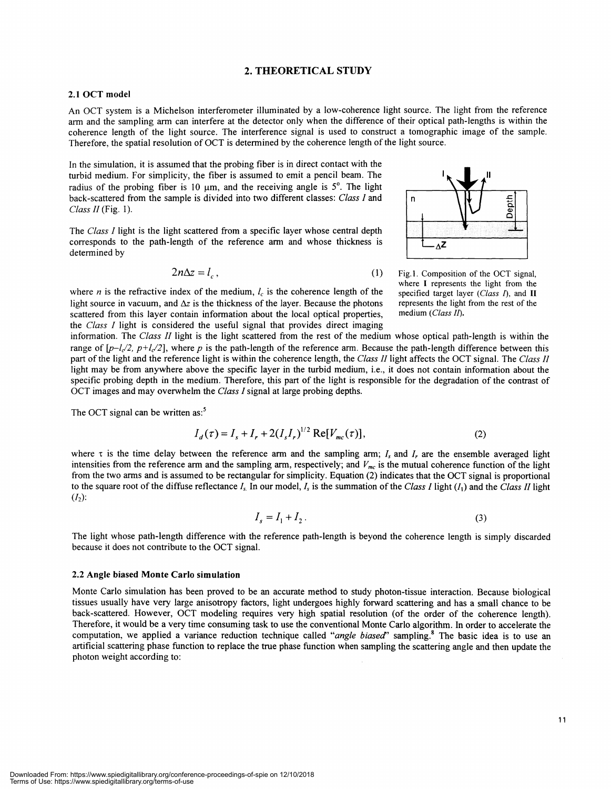#### 2. THEORETICAL STUDY

#### 2.1 OCT model

An OCT system is a Michelson interferometer illuminated by a low-coherence light source. The light from the reference arm and the sampling arm can interfere at the detector only when the difference of their optical path-lengths is within the coherence length of the light source. The interference signal is used to construct a tomographic image of the sample. Therefore, the spatial resolution of OCT is determined by the coherence length of the light source.

In the simulation, it is assumed that the probing fiber is in direct contact with the turbid medium. For simplicity, the fiber is assumed to emit a pencil beam. The radius of the probing fiber is 10  $\mu$ m, and the receiving angle is 5°. The light back-scattered from the sample is divided into two different classes: Class I and n Class  $II$  (Fig. 1).

The Class I light is the light scattered from a specific layer whose central depth corresponds to the path-length of the reference arm and whose thickness is determined by

$$
2n\Delta z = l_c, \tag{1}
$$

where *n* is the refractive index of the medium,  $l_c$  is the coherence length of the light source in vacuum, and  $\Delta z$  is the thickness of the layer. Because the photons scattered from this layer contain information about the local optical properties, the Class I light is considered the useful signal that provides direct imaging



Fig.1. Composition of the OCT signal, where I represents the light from the specified target layer (Class  $I$ ), and II represents the light from the rest of the medium (Class II).

information. The Class II light is the light scattered from the rest of the medium whose optical path-length is within the range of  $[p-l/2, p+l/2]$ , where p is the path-length of the reference arm. Because the path-length difference between this part of the light and the reference light is within the coherence length, the Class II light affects the OCT signal. The Class II light may be from anywhere above the specific layer in the turbid medium, i.e., it does not contain information about the specific probing depth in the medium. Therefore, this part of the light is responsible for the degradation of the contrast of OCT images and may overwhelm the Class I signal at large probing depths.

The OCT signal can be written as:<sup>5</sup>

$$
I_d(\tau) = I_s + I_r + 2(I_s I_r)^{1/2} \text{Re}[V_{mc}(\tau)],\tag{2}
$$

where  $\tau$  is the time delay between the reference arm and the sampling arm;  $I_s$  and  $I_r$  are the ensemble averaged light intensities from the reference arm and the sampling arm, respectively; and  $V_{mc}$  is the mutual coherence function of the light from the two arms and is assumed to be rectangular for simplicity. Equation (2) indicates that the OCT signal is proportional to the square root of the diffuse reflectance  $I_s$  In our model,  $I_s$  is the summation of the Class I light ( $I_1$ ) and the Class II light  $(I_2)$ :

$$
I_s = I_1 + I_2. \tag{3}
$$

The light whose path-length difference with the reference path-length is beyond the coherence length is simply discarded because it does not contribute to the OCT signal.

#### 2.2 Angle biased Monte Carlo simulation

Monte Carlo simulation has been proved to be an accurate method to study photon-tissue interaction. Because biological tissues usually have very large anisotropy factors, light undergoes highly forward scattering and has a small chance to be back-scattered. However, OCT modeling requires very high spatial resolution (of the order of the coherence length). Therefore, it would be a very time consuming task to use the conventional Monte Carlo algorithm. In order to accelerate the computation, we applied a variance reduction technique called "angle biased" sampling.<sup>8</sup> The basic idea is to use an artificial scattering phase function to replace the true phase function when sampling the scattering angle and then update the photon weight according to: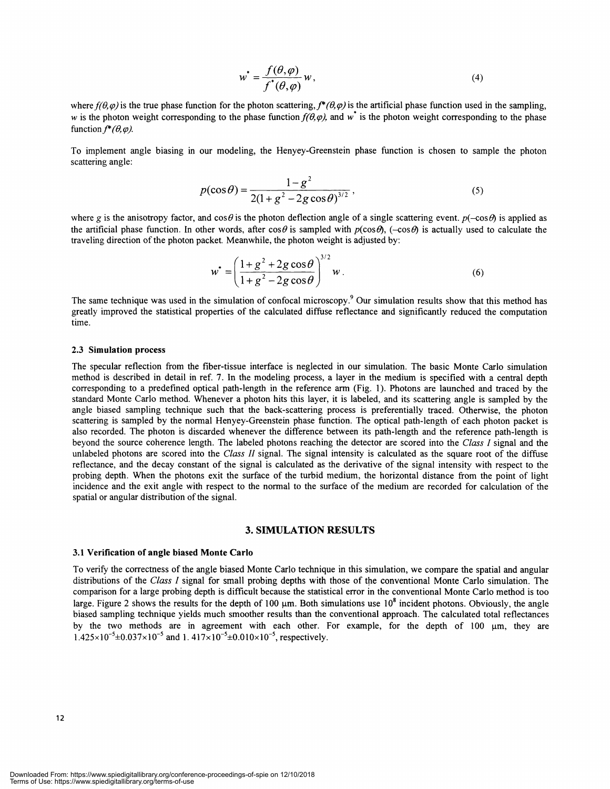$$
w^* = \frac{f(\theta, \varphi)}{f^*(\theta, \varphi)} w,
$$
\n(4)

where  $f(\theta, \varphi)$  is the true phase function for the photon scattering,  $f^*(\theta, \varphi)$  is the artificial phase function used in the sampling, w is the photon weight corresponding to the phase function  $f(\theta,\varphi)$ , and w<sup>\*</sup> is the photon weight corresponding to the phase function  $f^*(\theta, \varphi)$ .

To implement angle biasing in our modeling, the Henyey-Greenstein phase function is chosen to sample the photon scattering angle:

$$
p(\cos \theta) = \frac{1 - g^2}{2(1 + g^2 - 2g \cos \theta)^{3/2}},
$$
\n(5)

where g is the anisotropy factor, and  $\cos\theta$  is the photon deflection angle of a single scattering event.  $p(-\cos\theta)$  is applied as the artificial phase function. In other words, after  $\cos\theta$  is sampled with  $p(\cos\theta)$ , ( $-\cos\theta$ ) is actually used to calculate the traveling direction of the photon packet. Meanwhile, the photon weight is adjusted by:

$$
w^* = \left(\frac{1+g^2+2g\cos\theta}{1+g^2-2g\cos\theta}\right)^{3/2}w.
$$
 (6)

The same technique was used in the simulation of confocal microscopy.<sup>9</sup> Our simulation results show that this method has greatly improved the statistical properties of the calculated diffuse reflectance and significantly reduced the computation time.

#### 2.3 Simulation process

The specular reflection from the fiber-tissue interface is neglected in our simulation. The basic Monte Carlo simulation method is described in detail in ref. 7. In the modeling process, a layer in the medium is specified with a central depth corresponding to a predefined optical path-length in the reference arm (Fig. 1). Photons are launched and traced by the standard Monte Carlo method. Whenever a photon hits this layer, it is labeled, and its scattering angle is sampled by the angle biased sampling technique such that the back-scattering process is preferentially traced. Otherwise, the photon scattering is sampled by the normal Henyey-Greenstein phase function. The optical path-length of each photon packet is also recorded. The photon is discarded whenever the difference between its path-length and the reference path-length is beyond the source coherence length. The labeled photons reaching the detector are scored into the Class I signal and the unlabeled photons are scored into the Class II signal. The signal intensity is calculated as the square root of the diffuse reflectance, and the decay constant of the signal is calculated as the derivative of the signal intensity with respect to the probing depth. When the photons exit the surface of the turbid medium, the horizontal distance from the point of light incidence and the exit angle with respect to the normal to the surface of the medium are recorded for calculation of the spatial or angular distribution of the signal.

#### 3. SIMULATION RESULTS

#### 3.1 Verification of angle biased Monte Carlo

To verify the correctness of the angle biased Monte Carlo technique in this simulation, we compare the spatial and angular distributions of the Class I signal for small probing depths with those of the conventional Monte Carlo simulation. The comparison for a large probing depth is difficult because the statistical error in the conventional Monte Carlo method is too large. Figure 2 shows the results for the depth of 100  $\mu$ m. Both simulations use  $10^8$  incident photons. Obviously, the angle biased sampling technique yields much smoother results than the conventional approach. The calculated total reflectances by the two methods are in agreement with each other. For example, for the depth of  $100 \mu m$ , they are  $1.425 \times 10^{-5} \pm 0.037 \times 10^{-5}$  and 1.  $417 \times 10^{-5} \pm 0.010 \times 10^{-5}$ , respectively.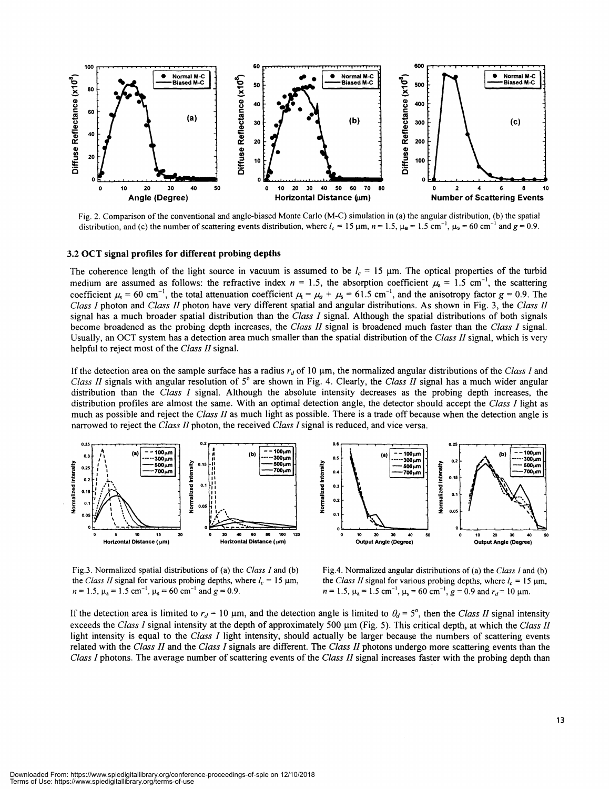

Fig. 2. Comparison ofthe conventional and angle-biased Monte Carlo (M-C) simulation in (a) the angular distribution, (b) the spatial distribution, and (c) the number of scattering events distribution, where  $l_c = 15 \mu m$ ,  $n = 1.5$ ,  $\mu_a = 1.5$  cm<sup>-1</sup>,  $\mu_s = 60 \text{ cm}^{-1}$  and  $g = 0.9$ .

#### 3.2 OCT signal profiles for different probing depths

The coherence length of the light source in vacuum is assumed to be  $l_c = 15$  µm. The optical properties of the turbid medium are assumed as follows: the refractive index  $n = 1.5$ , the absorption coefficient  $\mu_a = 1.5$  cm<sup>-1</sup>, the scattering coefficient  $\mu_s = 60 \text{ cm}^{-1}$ , the total attenuation coefficient  $\mu_t = \mu_a + \mu_s = 61.5 \text{ cm}^{-1}$ , and the anisotropy factor  $g = 0.9$ . The Class I photon and Class II photon have very different spatial and angular distributions. As shown in Fig. 3, the Class II signal has a much broader spatial distribution than the Class I signal. Although the spatial distributions of both signals become broadened as the probing depth increases, the Class II signal is broadened much faster than the Class I signal. Usually, an OCT system has a detection area much smaller than the spatial distribution of the Class II signal, which is very helpful to reject most of the Class II signal.

If the detection area on the sample surface has a radius  $r_d$  of 10  $\mu$ m, the normalized angular distributions of the Class I and Class II signals with angular resolution of  $5^\circ$  are shown in Fig. 4. Clearly, the Class II signal has a much wider angular distribution than the Class I signal. Although the absolute intensity decreases as the probing depth increases, the distribution profiles are almost the same. With an optimal detection angle, the detector should accept the Class I light as much as possible and reject the Class II as much light as possible. There is a trade off because when the detection angle is narrowed to reject the Class II photon, the received Class I signal is reduced, and vice versa.



Fig.3. Normalized spatial distributions of (a) the Class I and (b) the Class II signal for various probing depths, where  $l_c = 15 \text{ }\mu\text{m}$ ,  $n = 1.5$ ,  $\mu_\text{a} = 1.5 \text{ cm}^{-1}$ ,  $\mu_\text{s} = 60 \text{ cm}^{-1}$  and  $g = 0.9$ .

Fig.4. Normalized angular distributions of (a) the Class I and (b) the Class II signal for various probing depths, where  $l_c = 15 \mu m$ ,  $n = 1.5$ ,  $\mu_a = 1.5$  cm<sup>-1</sup>,  $\mu_s = 60$  cm<sup>-1</sup>,  $g = 0.9$  and  $r_d = 10$   $\mu$ m.

If the detection area is limited to  $r_d = 10 \mu m$ , and the detection angle is limited to  $\theta_d = 5^\circ$ , then the Class II signal intensity exceeds the Class I signal intensity at the depth of approximately 500  $\mu$ m (Fig. 5). This critical depth, at which the Class II light intensity is equal to the Class I light intensity, should actually be larger because the numbers of scattering events related with the Class II and the Class I signals are different. The Class II photons undergo more scattering events than the Class I photons. The average number of scattering events of the Class II signal increases faster with the probing depth than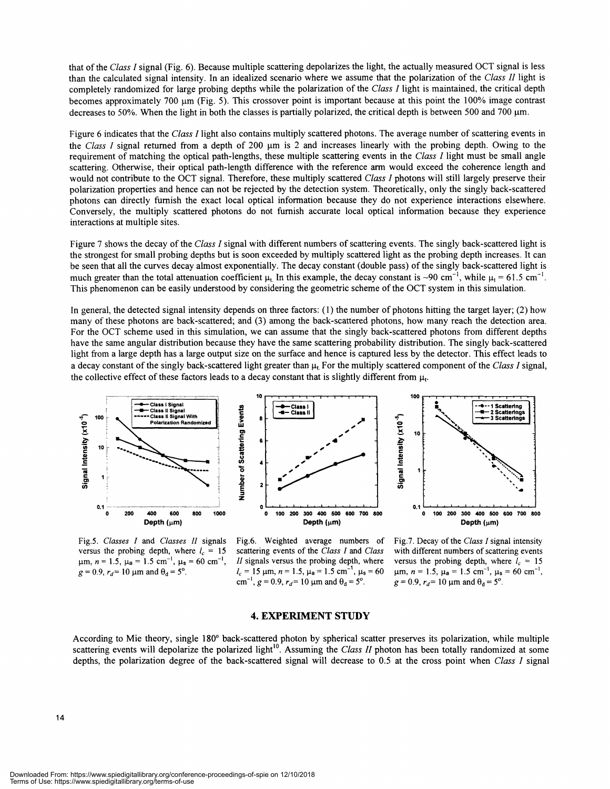that of the Class I signal (Fig. 6). Because multiple scattering depolarizes the light, the actually measured OCT signal is less than the calculated signal intensity. In an idealized scenario where we assume that the polarization of the Class II light is completely randomized for large probing depths while the polarization of the Class I light is maintained, the critical depth becomes approximately 700 um (Fig. 5). This crossover point is important because at this point the 100% image contrast decreases to 50%. When the light in both the classes is partially polarized, the critical depth is between 500 and 700  $\mu$ m.

Figure 6 indicates that the Class I light also contains multiply scattered photons. The average number of scattering events in the Class I signal returned from a depth of 200  $\mu$ m is 2 and increases linearly with the probing depth. Owing to the requirement of matching the optical path-lengths, these multiple scattering events in the Class I light must be small angle scattering. Otherwise, their optical path-length difference with the reference arm would exceed the coherence length and would not contribute to the OCT signal. Therefore, these multiply scattered Class I photons will still largely preserve their polarization properties and hence can not be rejected by the detection system. Theoretically, only the singly back-scattered photons can directly furnish the exact local optical information because they do not experience interactions elsewhere. Conversely, the multiply scattered photons do not furnish accurate local optical information because they experience interactions at multiple sites.

Figure 7 shows the decay of the Class I signal with different numbers of scattering events. The singly back-scattered light is the strongest for small probing depths but is soon exceeded by multiply scattered light as the probing depth increases. It can be seen that all the curves decay almost exponentially. The decay constant (double pass) of the singly back-scattered light is much greater than the total attenuation coefficient  $\mu$ . In this example, the decay constant is ~90 cm<sup>-1</sup>, while  $\mu_1 = 61.5$  cm<sup>-1</sup>. This phenomenon can be easily understood by considering the geometric scheme ofthe OCT system in this simulation.

In general, the detected signal intensity depends on three factors: (1) the number of photons hitting the target layer; (2) how many of these photons are back-scattered; and (3) among the back-scattered photons, how many reach the detection area. For the OCT scheme used in this simulation, we can assume that the singly back-scattered photons from different depths have the same angular distribution because they have the same scattering probability distribution. The singly back-scattered light from a large depth has a large output size on the surface and hence is captured less by the detector. This effect leads to a decay constant of the singly back-scattered light greater than  $\mu_t$  For the multiply scattered component of the Class I signal, the collective effect of these factors leads to a decay constant that is slightly different from  $\mu$ .



versus the probing depth, where  $l_c = 15$  $\mu$ m,  $n = 1.5$ ,  $\mu$ <sub>a</sub> = 1.5 cm<sup>-1</sup>,  $\mu$ <sub>s</sub> = 60 cm<sup>-1</sup>,  $g = 0.9$ ,  $r_d = 10$  µm and  $\theta_d = 5^\circ$ .

Fig.5. Classes I and Classes II signals Fig.6. Weighted average numbers of scattering events of the Class I and Class  $II$  signals versus the probing depth, where  $l_c = 15$  µm,  $n = 1.5$ ,  $\mu_a = 1.5$  cm<sup>-1</sup>,  $\mu_s = 60$ cm<sup>-1</sup>,  $g = 0.9$ ,  $r_d = 10$  µm and  $\theta_d = 5^\circ$ .

Fig.7. Decay of the Class I signal intensity with different numbers of scattering events versus the probing depth, where  $l_c = 15$  $\mu$ m,  $n = 1.5$ ,  $\mu$ a = 1.5 cm<sup>-1</sup>,  $\mu$ <sub>s</sub> = 60 cm<sup>-1</sup>,  $g = 0.9$ ,  $r_d = 10$  µm and  $\theta_d = 5^\circ$ .

#### 4. EXPERIMENT STUDY

According to Mie theory, single 180° back-scattered photon by spherical scatter preserves its polarization, while multiple scattering events will depolarize the polarized light<sup>10</sup>. Assuming the Class II photon has been totally randomized at some depths, the polarization degree of the back-scattered signal will decrease to 0.5 at the cross point when Class  $I$  signal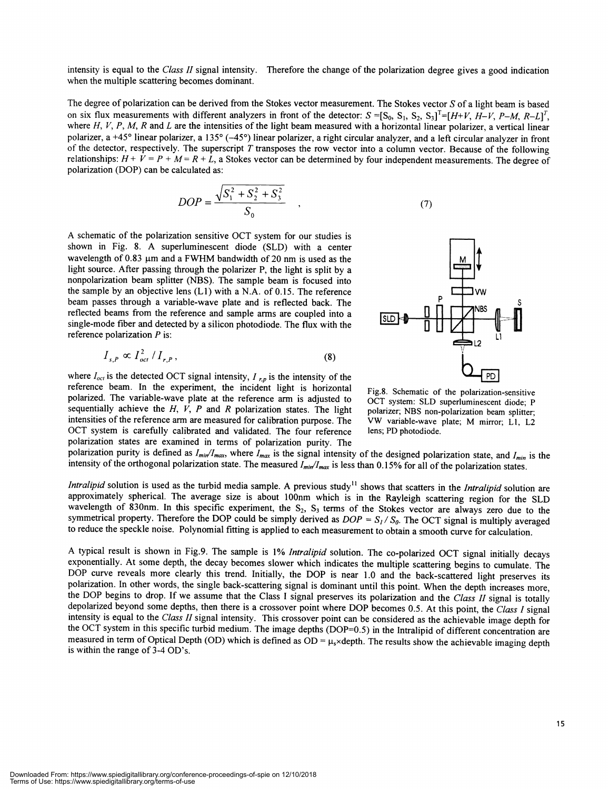intensity is equal to the Class II signal intensity. Therefore the change of the polarization degree gives a good indication when the multiple scattering becomes dominant.

The degree of polarization can be derived from the Stokes vector measurement. The Stokes vector S of a light beam is based on six flux measurements with different analyzers in front of the detector:  $S = [S_0, S_1, S_2, S_3]^T = [H+V, H-V, P-M, R-L]^T$ , where H, V, P, M, R and L are the intensities of the light beam measured with a horizontal linear polarizer, a vertical linear polarizer, a +45° linear polarizer, a 135° (—45°) linear polarizer, a right circular analyzer, and a left circular analyzer in front of the detector, respectively. The superscript  $T$  transposes the row vector into a column vector. Because of the following relationships:  $H + V = P + M = R + L$ , a Stokes vector can be determined by four independent measurements. The degree of polarization (DOP) can be calculated as:

$$
DOP = \frac{\sqrt{S_1^2 + S_2^2 + S_3^2}}{S_0} \tag{7}
$$

A schematic of the polarization sensitive OCT system for our studies is shown in Fig. 8. A superluminescent diode (SLD) with a center wavelength of  $0.83 \mu m$  and a FWHM bandwidth of 20 nm is used as the light source. After passing through the polarizer P, the light is split by a nonpolarization beam splitter (NBS). The sample beam is focused into the sample by an objective lens  $(L1)$  with a N.A. of 0.15. The reference beam passes through a variable-wave plate and is reflected back. The reflected beams from the reference and sample arms are coupled into a single-mode fiber and detected by a silicon photodiode. The flux with the reference polarization  $P$  is:

$$
I_{s,P} \propto I_{oct}^2 / I_{r,P}, \qquad (8)
$$

where  $I_{oct}$  is the detected OCT signal intensity,  $I_{r,p}$  is the intensity of the reference beam. In the experiment, the incident light is horizontal polarized. The variable-wave plate at the reference arm is adjusted to sequentially achieve the  $H$ ,  $V$ ,  $P$  and  $R$  polarization states. The light intensities of the reference arm are measured for calibration purpose. The OCT system is carefully calibrated and validated. The four reference polarization states are examined in terms of polarization purity. The



Fig.8. Schematic of the polarization-sensitive OCT system: SLD superluminescent diode; P polarizer; NBS non-polarization beam splitter; VW variable-wave plate; M mirror; Li, L2 lens; PD photodiode.

polarization purity is defined as  $I_{min}/I_{max}$ , where  $I_{max}$  is the signal intensity of the designed polarization state, and  $I_{min}$  is the intensity of the orthogonal polarization state. The measured  $I_{min}/I_{max}$  is less than 0.15% for all of the polarization states.

Intralipid solution is used as the turbid media sample. A previous study<sup>11</sup> shows that scatters in the *Intralipid* solution are approximately spherical. The average size is about lOOnm which is in the Rayleigh scattering region for the SLD wavelength of 830nm. In this specific experiment, the  $S_2$ ,  $S_3$  terms of the Stokes vector are always zero due to the symmetrical property. Therefore the DOP could be simply derived as  $DOP = S_1 / S_0$ . The OCT signal is multiply averaged to reduce the speckle noise. Polynomial fitting is applied to each measurement to obtain a smooth curve for calculation.

A typical result is shown in Fig.9. The sample is 1% Intralipid solution. The co-polarized OCT signal initially decays exponentially. At some depth, the decay becomes slower which indicates the multiple scattering begins to cumulate. The DOP curve reveals more clearly this trend. Initially, the DOP is near 1.0 and the back-scattered light preserves its polarization. In other words, the single back-scattering signal is dominant until this point. When the depth increases more, the DOP begins to drop. If we assume that the Class I signal preserves its polarization and the Class II signal is totally depolarized beyond some depths, then there is a crossover point where DOP becomes 0.5. At this point, the Class I signal intensity is equal to the Class II signal intensity. This crossover point can be considered as the achievable image depth for the OCT system in this specific turbid medium. The image depths (DOP=0.5) in the Intralipid of different concentration are measured in term of Optical Depth (OD) which is defined as  $OD = \mu_s \times$ depth. The results show the achievable imaging depth is within the range of 3-4 OD's.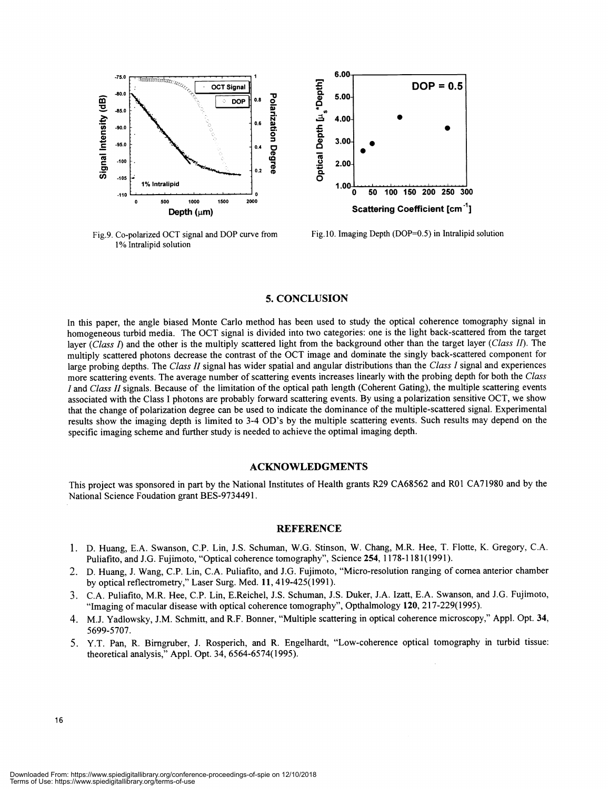

Fig.9. Co-polarized OCT signal and DOP curve from 1% Intralipid solution



Fig.1O. Imaging Depth (DOP=O.5) in Intralipid solution

#### 5. CONCLUSION

In this paper, the angle biased Monte Carlo method has been used to study the optical coherence tomography signal in homogeneous turbid media. The OCT signal is divided into two categories: one is the light back-scattered from the target layer  $\overline{(Class I)}$  and the other is the multiply scattered light from the background other than the target layer (Class II). The multiply scattered photons decrease the contrast of the OCT image and dominate the singly back-scattered component for large probing depths. The Class II signal has wider spatial and angular distributions than the Class I signal and experiences more scattering events. The average number of scattering events increases linearly with the probing depth for both the Class I and Class II signals. Because of the limitation of the optical path length (Coherent Gating), the multiple scattering events associated with the Class I photons are probably forward scattering events. By using a polarization sensitive OCT, we show that the change of polarization degree can be used to indicate the dominance of the multiple-scattered signal. Experimental results show the imaging depth is limited to 3-4 OD's by the multiple scattering events. Such results may depend on the specific imaging scheme and further study is needed to achieve the optimal imaging depth.

#### ACKNOWLEDGMENTS

This project was sponsored in part by the National Institutes of Health grants R29 CA68562 and ROl CA71980 and by the National Science Foudation grant BES-9734491.

#### **REFERENCE**

- <sup>1</sup>. D. Huang, E.A. Swanson, C.P. Lin, J.S. Schuman, W.G. Stinson, W. Chang, MR. Hee, T. Flotte, K. Gregory, CA. Puliafito, and J.G. Fujimoto, "Optical coherence tomography", Science 254, 1178-1181(1991).
- 2. D. Huang, J. Wang, C.P. Lin, CA. Puliafito, and J.G. Fujimoto, "Micro-resolution ranging of cornea anterior chamber by optical reflectrometry," Laser Surg. Med. 11, 419-425(1991).
- 3. C.A. Puliafito, MR. Hee, C.P. Lin, E.Reichel, J.S. Schuman, J.S. Duker, J.A. Izatt, E.A. Swanson, and J.G. Fujimoto, "Imaging of macular disease with optical coherence tomography", Opthalmology 120, 217-229(1995).
- 4. M.J. Yadlowsky, J.M. Schmitt, and R.F. Bonner, "Multiple scattering in optical coherence microscopy," Appl. Opt. 34, 5699-5707.
- 5. Y.T. Pan, R. Birngruber, J. Rosperich, and R. Engelhardt, "Low-coherence optical tomography in turbid tissue: theoretical analysis," Appl. Opt. 34, 6564-6574(1995).